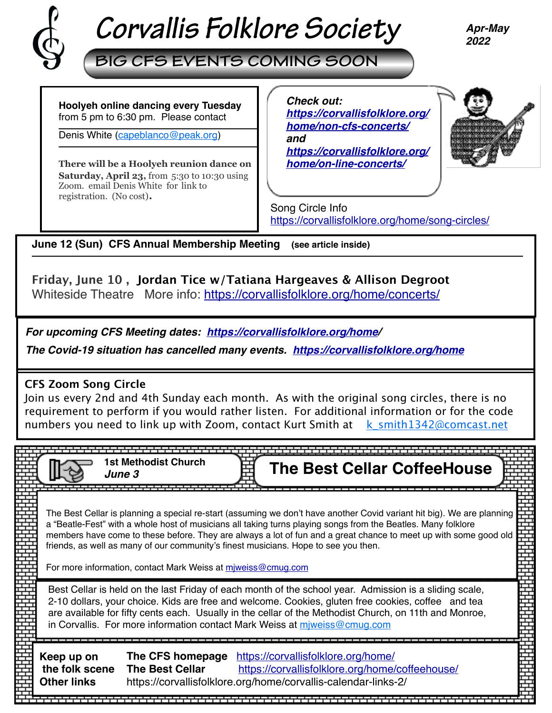

# *Corvallis Folklore Society*

*Apr-May 2022*

**BIG CFS EVENTS COMING SOON**

**Hoolyeh online dancing every Tuesday**  from 5 pm to 6:30 pm. Please contact

Denis White [\(capeblanco@peak.org](mailto:capeblanco@peak.org))

**There will be a Hoolyeh reunion dance on Saturday, April 23,** from 5:30 to 10:30 using Zoom. email Denis White for link to registration. (No cost).

*Check out: [https://corvallisfolklore.org/](https://corvallisfolklore.org/home/non-cfs-concerts/) [home/non-cfs-concerts/](https://corvallisfolklore.org/home/non-cfs-concerts/) and [https://corvallisfolklore.org/](https://corvallisfolklore.org/home/on-line-concerts/) [home/on-line-concerts/](https://corvallisfolklore.org/home/on-line-concerts/)*



Song Circle Info <https://corvallisfolklore.org/home/song-circles/>

**June 12 (Sun) CFS Annual Membership Meeting (see article inside)** 

# **Friday, June 10 , Jordan Tice w/Tatiana Hargeaves & Allison Degroot**

Whiteside Theatre More info:<https://corvallisfolklore.org/home/concerts/>

*For upcoming CFS Meeting dates: <https://corvallisfolklore.org/home>/* 

*The Covid-19 situation has cancelled many events. [https://corvallisfolklore.org/home](https://corvallisfolklore.org/)*

## **CFS Zoom Song Circle**

Join us every 2nd and 4th Sunday each month. As with the original song circles, there is no requirement to perform if you would rather listen. For additional information or for the code numbers you need to link up with Zoom, contact Kurt Smith at  $k$  smith1342@comcast.net

|                                                                                                                                                                                                                                                                                                                                                                                                     | <b>1st Methodist Church</b><br>June 3                        | <b>The Best Cellar CoffeeHouse</b>                                                                                                                                                                                                                                                                                                                                                                                                                 |  |  |  |
|-----------------------------------------------------------------------------------------------------------------------------------------------------------------------------------------------------------------------------------------------------------------------------------------------------------------------------------------------------------------------------------------------------|--------------------------------------------------------------|----------------------------------------------------------------------------------------------------------------------------------------------------------------------------------------------------------------------------------------------------------------------------------------------------------------------------------------------------------------------------------------------------------------------------------------------------|--|--|--|
|                                                                                                                                                                                                                                                                                                                                                                                                     | For more information, contact Mark Weiss at miweiss@cmug.com | The Best Cellar is planning a special re-start (assuming we don't have another Covid variant hit big). We are planning<br>a "Beatle-Fest" with a whole host of musicians all taking turns playing songs from the Beatles. Many folklore<br>members have come to these before. They are always a lot of fun and a great chance to meet up with some good old<br>friends, as well as many of our community's finest musicians. Hope to see you then. |  |  |  |
| Best Cellar is held on the last Friday of each month of the school year. Admission is a sliding scale,<br>2-10 dollars, your choice. Kids are free and welcome. Cookies, gluten free cookies, coffee and tea<br>are available for fifty cents each. Usually in the cellar of the Methodist Church, on 11th and Monroe,<br>in Corvallis. For more information contact Mark Weiss at miweiss@cmug.com |                                                              |                                                                                                                                                                                                                                                                                                                                                                                                                                                    |  |  |  |
| Keep up on<br>the folk scene<br><b>Other links</b>                                                                                                                                                                                                                                                                                                                                                  | The CFS homepage<br><b>The Best Cellar</b>                   | https://corvallisfolklore.org/home/<br>https://corvallisfolklore.org/home/coffeehouse/<br>https://corvallisfolklore.org/home/corvallis-calendar-links-2/                                                                                                                                                                                                                                                                                           |  |  |  |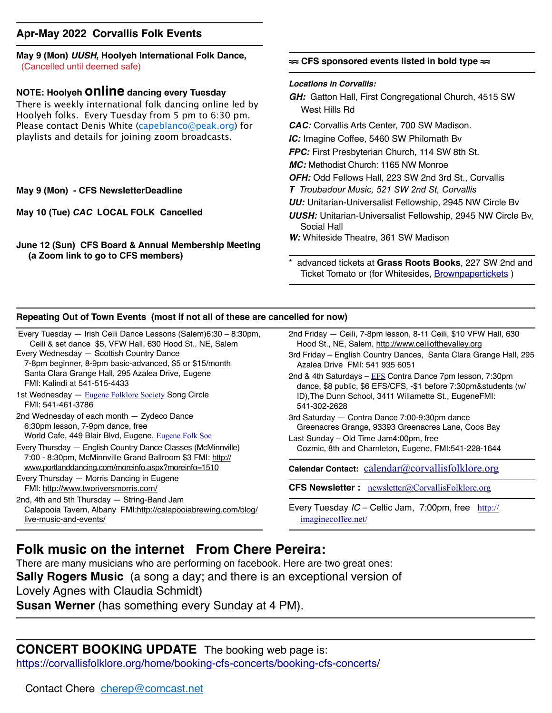#### **Apr-May 2022 Corvallis Folk Events**

**May 9 (Mon)** *UUSH***, Hoolyeh International Folk Dance,** (Cancelled until deemed safe)

#### **NOTE: Hoolyeh online dancing every Tuesday**

There is weekly international folk dancing online led by Hoolyeh folks. Every Tuesday from 5 pm to 6:30 pm. Please contact Denis White ([capeblanco@peak.org](mailto:capeblanco@peak.org)) for playlists and details for joining zoom broadcasts.

#### **May 9 (Mon) - CFS NewsletterDeadline**

**May 10 (Tue)** *CAC* **LOCAL FOLK Cancelled** 

**June 12 (Sun) CFS Board & Annual Membership Meeting (a Zoom link to go to CFS members)** 

#### **≈≈ CFS sponsored events listed in bold type ≈≈**

#### *Locations in Corvallis:*

- *GH:* Gatton Hall, First Congregational Church, 4515 SW West Hills Rd
- *CAC:* Corvallis Arts Center, 700 SW Madison.
- *IC:* Imagine Coffee, 5460 SW Philomath Bv
- *FPC:* First Presbyterian Church, 114 SW 8th St.
- *MC:* Methodist Church: 1165 NW Monroe
- *OFH:* Odd Fellows Hall, 223 SW 2nd 3rd St., Corvallis
- *T Troubadour Music, 521 SW 2nd St, Corvallis*
- *UU:* Unitarian-Universalist Fellowship, 2945 NW Circle Bv
- *UUSH:* Unitarian-Universalist Fellowship, 2945 NW Circle Bv, Social Hall
- *W:* Whiteside Theatre, 361 SW Madison
- \* advanced tickets at **Grass Roots Books**, 227 SW 2nd and Ticket Tomato or (for Whitesides, [Brownpapertickets](https://www.brownpapertickets.com) )

#### **Repeating Out of Town Events (most if not all of these are cancelled for now)**

Every Tuesday — Irish Ceili Dance Lessons (Salem)6:30 – 8:30pm, Ceili & set dance \$5, VFW Hall, 630 Hood St., NE, Salem Every Wednesday — Scottish Country Dance 7-8pm beginner, 8-9pm basic-advanced, \$5 or \$15/month

- Santa Clara Grange Hall, 295 Azalea Drive, Eugene FMI: Kalindi at 541-515-4433
- 1st Wednesday [Eugene Folklore Society](http://www.eugenefolklore.org) Song Circle FMI: 541-461-3786
- 2nd Wednesday of each month Zydeco Dance 6:30pm lesson, 7-9pm dance, free World Cafe, 449 Blair Blvd, Eugene. [Eugene Folk Soc](http://www.eugenefolklore.org)
- Every Thursday English Country Dance Classes (McMinnville) 7:00 - 8:30pm, McMinnville Grand Ballroom \$3 FMI: [http://](http://www.portlanddancing.com/moreinfo.aspx?moreinfo=1510) [www.portlanddancing.com/moreinfo.aspx?moreinfo=1510](http://www.portlanddancing.com/moreinfo.aspx?moreinfo=1510)
- Every Thursday Morris Dancing in Eugene FMI: <http://www.tworiversmorris.com/> 2nd, 4th and 5th Thursday — String-Band Jam
- Calapooia Tavern, Albany FMI:[http://calapooiabrewing.com/blog/](http://calapooiabrewing.com/blog/live-music-and-events/) [live-music-and-events/](http://calapooiabrewing.com/blog/live-music-and-events/)
- 2nd Friday Ceili, 7-8pm lesson, 8-11 Ceili, \$10 VFW Hall, 630 Hood St., NE, Salem, [http://www.ceiliofthevalley.org](http://www.ceiliofthevalley.org/)
- 3rd Friday English Country Dances, Santa Clara Grange Hall, 295 Azalea Drive FMI: 541 935 6051
- 2nd & 4th Saturdays [EFS](http://www.eugenefolklore.org) Contra Dance 7pm lesson, 7:30pm dance, \$8 public, \$6 EFS/CFS, -\$1 before 7:30pm&students (w/ ID),The Dunn School, 3411 Willamette St., EugeneFMI: 541-302-2628
- 3rd Saturday Contra Dance 7:00-9:30pm dance Greenacres Grange, 93393 Greenacres Lane, Coos Bay
- Last Sunday Old Time Jam4:00pm, free Cozmic, 8th and Charnleton, Eugene, FMI:541-228-1644

**Calendar Contact:** [calendar@corvallisfolklore.org](mailto:%20calendar@corvallisfolklore.org)

**CFS Newsletter :** [newsletter@CorvallisFolklore.org](mailto:%20newsletter@CorvallisFolklore.org)

Every Tuesday *IC* – Celtic Jam, 7:00pm, free [http://](http://imaginecoffee.net/) [imaginecoffee.net/](http://imaginecoffee.net/)

#### **Folk music on the internet From Chere Pereira:**

There are many musicians who are performing on facebook. Here are two great ones:

**Sally Rogers Music** (a song a day; and there is an exceptional version of

Lovely Agnes with Claudia Schmidt)

**Susan Werner** (has something every Sunday at 4 PM).

### **CONCERT BOOKING UPDATE** The booking web page is:

[https://corvallisfolklore.org/home/booking-cfs-concerts/booking-cfs-concerts/](http://corvallisfolklore.org/home/booking-cfs-concerts/booking-cfs-concerts/)

Contact Chere [cherep@comcast.net](mailto:cherep@comcast.net)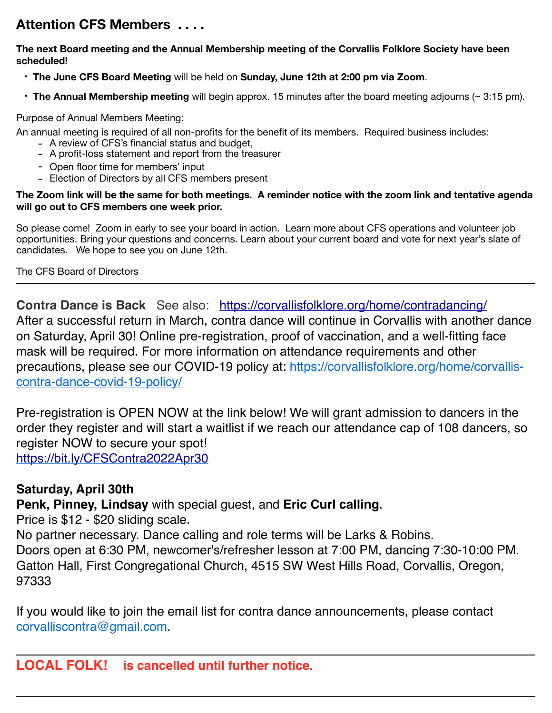## **Attention CFS Members . . . .**

#### **The next Board meeting and the Annual Membership meeting of the Corvallis Folklore Society have been scheduled!**

- **The June CFS Board Meeting** will be held on **Sunday, June 12th at 2:00 pm via Zoom**.
- **The Annual Membership meeting** will begin approx. 15 minutes after the board meeting adjourns (~ 3:15 pm).

#### Purpose of Annual Members Meeting:

An annual meeting is required of all non-profits for the benefit of its members. Required business includes:

- A review of CFS's financial status and budget,
- A profit-loss statement and report from the treasurer
- Open floor time for members' input
- Election of Directors by all CFS members present

#### **The Zoom link will be the same for both meetings. A reminder notice with the zoom link and tentative agenda will go out to CFS members one week prior.**

So please come! Zoom in early to see your board in action. Learn more about CFS operations and volunteer job opportunities. Bring your questions and concerns. Learn about your current board and vote for next year's slate of candidates. We hope to see you on June 12th.

The CFS Board of Directors

**Contra Dance is Back** See also: <https://corvallisfolklore.org/home/contradancing/> After a successful return in March, contra dance will continue in Corvallis with another dance on Saturday, April 30! Online pre-registration, proof of vaccination, and a well-fitting face mask will be required. For more information on attendance requirements and other precautions, please see our COVID-19 policy at: [https://corvallisfolklore.org/home/corvallis](https://corvallisfolklore.org/home/corvallis-contra-dance-covid-19-policy/)[contra-dance-covid-19-policy/](https://corvallisfolklore.org/home/corvallis-contra-dance-covid-19-policy/)

Pre-registration is OPEN NOW at the link below! We will grant admission to dancers in the order they register and will start a waitlist if we reach our attendance cap of 108 dancers, so register NOW to secure your spot! <https://bit.ly/CFSContra2022Apr30>

## **Saturday, April 30th**

## **Penk, Pinney, Lindsay** with special guest, and **Eric Curl calling**.

Price is \$12 - \$20 sliding scale.

No partner necessary. Dance calling and role terms will be Larks & Robins. Doors open at 6:30 PM, newcomer's/refresher lesson at 7:00 PM, dancing 7:30-10:00 PM. Gatton Hall, First Congregational Church, 4515 SW West Hills Road, Corvallis, Oregon, 97333

If you would like to join the email list for contra dance announcements, please contact [corvalliscontra@gmail.com](mailto:corvalliscontra@gmail.com).

## **LOCAL FOLK! is cancelled until further notice.**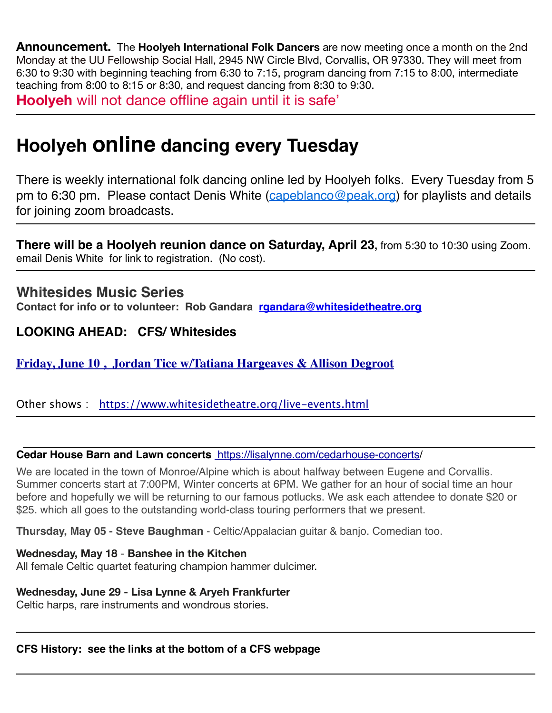**Announcement.** The **Hoolyeh International Folk Dancers** are now meeting once a month on the 2nd Monday at the UU Fellowship Social Hall, 2945 NW Circle Blvd, Corvallis, OR 97330. They will meet from 6:30 to 9:30 with beginning teaching from 6:30 to 7:15, program dancing from 7:15 to 8:00, intermediate teaching from 8:00 to 8:15 or 8:30, and request dancing from 8:30 to 9:30.

**Hoolyeh** will not dance offline again until it is safe'

# **Hoolyeh online dancing every Tuesday**

There is weekly international folk dancing online led by Hoolyeh folks. Every Tuesday from 5 pm to 6:30 pm. Please contact Denis White ([capeblanco@peak.org](mailto:capeblanco@peak.org)) for playlists and details for joining zoom broadcasts.

**There will be a Hoolyeh reunion dance on Saturday, April 23,** from 5:30 to 10:30 using Zoom. email Denis White for link to registration. (No cost).

## **Whitesides Music Series**

**Contact for info or to volunteer: Rob Gandara [rgandara@whitesidetheatre.org](mailto:rgandara@whitesidetheatre.org)**

## **LOOKING AHEAD: CFS/ Whitesides**

**[Friday, June 10 , Jordan Tice w/Tatiana Hargeaves & Allison Degroot](https://corvallisfolklore.org/home/concerts/)**

Other shows : <https://www.whitesidetheatre.org/live-events.html>

#### **Cedar House Barn and Lawn concerts** <https://lisalynne.com/cedarhouse-concerts/>

We are located in the town of Monroe/Alpine which is about halfway between Eugene and Corvallis. Summer concerts start at 7:00PM, Winter concerts at 6PM. We gather for an hour of social time an hour before and hopefully we will be returning to our famous potlucks. We ask each attendee to donate \$20 or \$25. which all goes to the outstanding world-class touring performers that we present.

**Thursday, May 05 - Steve Baughman** - Celtic/Appalacian guitar & banjo. Comedian too.

#### **Wednesday, May 18** - **Banshee in the Kitchen**

All female Celtic quartet featuring champion hammer dulcimer.

#### **Wednesday, June 29 - Lisa Lynne & Aryeh Frankfurter**

Celtic harps, rare instruments and wondrous stories.

**CFS History: see the links at the bottom of a CFS webpage**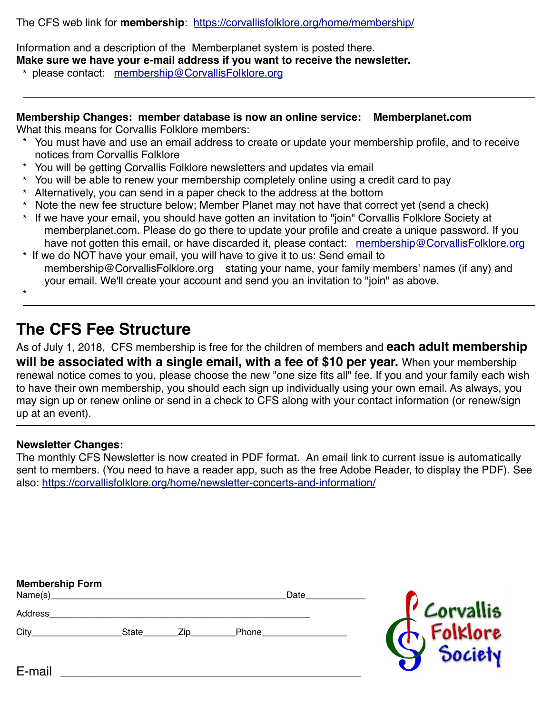The CFS web link for **membership**: <https://corvallisfolklore.org/home/membership/>

Information and a description of the Memberplanet system is posted there. **Make sure we have your e-mail address if you want to receive the newsletter.** 

\* please contact: [membership@CorvallisFolklore.org](mailto:membership@CorvallisFolklore.org)

**Membership Changes: member database is now an online service: Memberplanet.com** What this means for Corvallis Folklore members:

- You must have and use an email address to create or update your membership profile, and to receive notices from Corvallis Folklore
- \* You will be getting Corvallis Folklore newsletters and updates via email
- \* You will be able to renew your membership completely online using a credit card to pay
- \* Alternatively, you can send in a paper check to the address at the bottom
- Note the new fee structure below; Member Planet may not have that correct yet (send a check)
- \* If we have your email, you should have gotten an invitation to "join" Corvallis Folklore Society at memberplanet.com. Please do go there to update your profile and create a unique password. If you have not gotten this email, or have discarded it, please contact: [membership@CorvallisFolklore.org](mailto:membership@CorvallisFolklore.org)
- \* If we do NOT have your email, you will have to give it to us: Send email to membership@CorvallisFolklore.org stating your name, your family members' names (if any) and your email. We'll create your account and send you an invitation to "join" as above.

\*

## **The CFS Fee Structure**

As of July 1, 2018, CFS membership is free for the children of members and **each adult membership will be associated with a single email, with a fee of \$10 per year.** When your membership renewal notice comes to you, please choose the new "one size fits all" fee. If you and your family each wish to have their own membership, you should each sign up individually using your own email. As always, you may sign up or renew online or send in a check to CFS along with your contact information (or renew/sign up at an event).

#### **Newsletter Changes:**

The monthly CFS Newsletter is now created in PDF format. An email link to current issue is automatically sent to members. (You need to have a reader app, such as the free Adobe Reader, to display the PDF). See also: <https://corvallisfolklore.org/home/newsletter-concerts-and-information/>

| <b>Membership Form</b><br>Name(s) |       |     |       | Date |                       |
|-----------------------------------|-------|-----|-------|------|-----------------------|
| Address                           |       |     |       |      |                       |
| City                              | State | Zip | Phone |      | Corvallis<br>Folklore |
| E-mail                            |       |     |       |      | Society               |